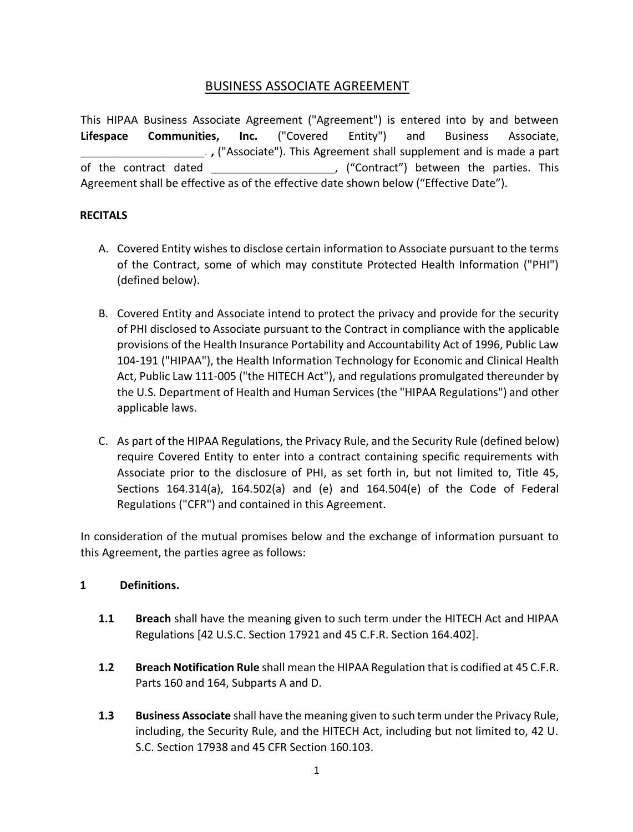# BUSINESS ASSOCIATE AGREEMENT

This HIPAA Business Associate Agreement ("Agreement") is entered into by and between **Lifespace Communities, Inc.** ("Covered Entity") and Business Associate, \_\_\_\_\_\_\_\_\_\_\_\_\_\_\_\_\_\_\_\_. **,** ("Associate"). This Agreement shall supplement and is made a part of the contract dated  $\blacksquare$ , ("Contract") between the parties. This Agreement shall be effective as of the effective date shown below ("Effective Date").

## **RECITALS**

- A. Covered Entity wishes to disclose certain information to Associate pursuant to the terms of the Contract, some of which may constitute Protected Health Information ("PHI") (defined below).
- B. Covered Entity and Associate intend to protect the privacy and provide for the security of PHI disclosed to Associate pursuant to the Contract in compliance with the applicable provisions of the Health Insurance Portability and Accountability Act of 1996, Public Law 104-191 ("HIPAA"), the Health Information Technology for Economic and Clinical Health Act, Public Law 111-005 ("the HITECH Act"), and regulations promulgated thereunder by the U.S. Department of Health and Human Services (the "HIPAA Regulations") and other applicable laws.
- C. As part of the HIPAA Regulations, the Privacy Rule, and the Security Rule (defined below) require Covered Entity to enter into a contract containing specific requirements with Associate prior to the disclosure of PHI, as set forth in, but not limited to, Title 45, Sections 164.314(a), 164.502(a) and (e) and 164.504(e) of the Code of Federal Regulations ("CFR") and contained in this Agreement.

In consideration of the mutual promises below and the exchange of information pursuant to this Agreement, the parties agree as follows:

# **1 Definitions.**

- **1.1 Breach** shall have the meaning given to such term under the HITECH Act and HIPAA Regulations [42 U.S.C. Section 17921 and 45 C.F.R. Section 164.402].
- **1.2 Breach Notification Rule** shall mean the HIPAA Regulation that is codified at 45 C.F.R. Parts 160 and 164, Subparts A and D.
- **1.3 Business Associate** shall have the meaning given to such term under the Privacy Rule, including, the Security Rule, and the HITECH Act, including but not limited to, 42 U. S.C. Section 17938 and 45 CFR Section 160.103.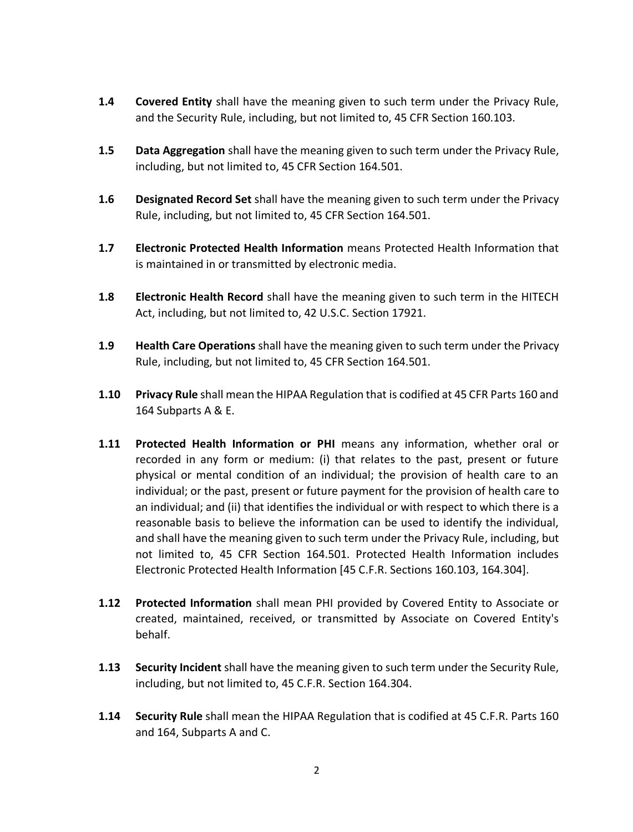- **1.4 Covered Entity** shall have the meaning given to such term under the Privacy Rule, and the Security Rule, including, but not limited to, 45 CFR Section 160.103.
- **1.5 Data Aggregation** shall have the meaning given to such term under the Privacy Rule, including, but not limited to, 45 CFR Section 164.501.
- **1.6 Designated Record Set** shall have the meaning given to such term under the Privacy Rule, including, but not limited to, 45 CFR Section 164.501.
- **1.7 Electronic Protected Health Information** means Protected Health Information that is maintained in or transmitted by electronic media.
- **1.8 Electronic Health Record** shall have the meaning given to such term in the HITECH Act, including, but not limited to, 42 U.S.C. Section 17921.
- **1.9 Health Care Operations** shall have the meaning given to such term under the Privacy Rule, including, but not limited to, 45 CFR Section 164.501.
- **1.10 Privacy Rule** shall mean the HIPAA Regulation that is codified at 45 CFR Parts 160 and 164 Subparts A & E.
- **1.11 Protected Health Information or PHI** means any information, whether oral or recorded in any form or medium: (i) that relates to the past, present or future physical or mental condition of an individual; the provision of health care to an individual; or the past, present or future payment for the provision of health care to an individual; and (ii) that identifies the individual or with respect to which there is a reasonable basis to believe the information can be used to identify the individual, and shall have the meaning given to such term under the Privacy Rule, including, but not limited to, 45 CFR Section 164.501. Protected Health Information includes Electronic Protected Health Information [45 C.F.R. Sections 160.103, 164.304].
- **1.12 Protected Information** shall mean PHI provided by Covered Entity to Associate or created, maintained, received, or transmitted by Associate on Covered Entity's behalf.
- **1.13 Security Incident** shall have the meaning given to such term under the Security Rule, including, but not limited to, 45 C.F.R. Section 164.304.
- **1.14 Security Rule** shall mean the HIPAA Regulation that is codified at 45 C.F.R. Parts 160 and 164, Subparts A and C.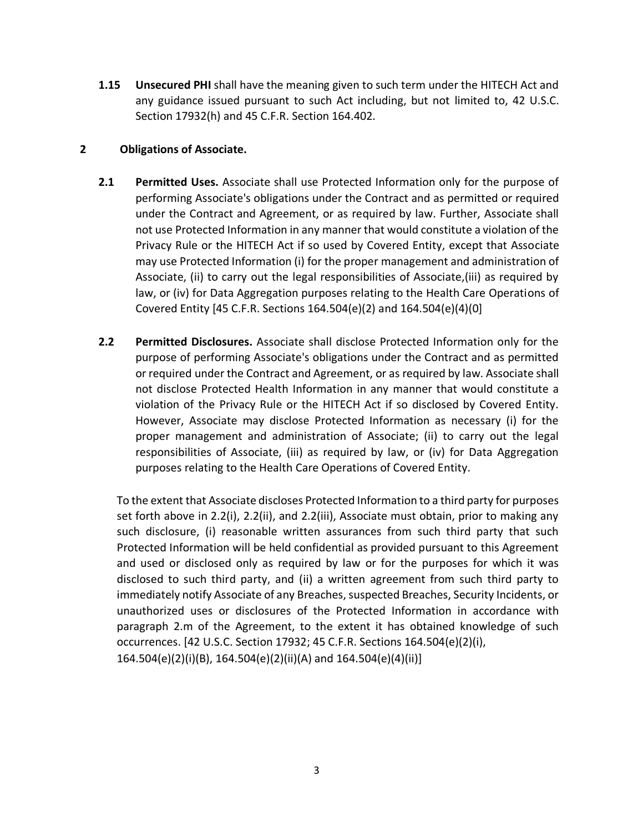**1.15 Unsecured PHI** shall have the meaning given to such term under the HITECH Act and any guidance issued pursuant to such Act including, but not limited to, 42 U.S.C. Section 17932(h) and 45 C.F.R. Section 164.402.

## **2 Obligations of Associate.**

- **2.1 Permitted Uses.** Associate shall use Protected Information only for the purpose of performing Associate's obligations under the Contract and as permitted or required under the Contract and Agreement, or as required by law. Further, Associate shall not use Protected Information in any manner that would constitute a violation of the Privacy Rule or the HITECH Act if so used by Covered Entity, except that Associate may use Protected Information (i) for the proper management and administration of Associate, (ii) to carry out the legal responsibilities of Associate,(iii) as required by law, or (iv) for Data Aggregation purposes relating to the Health Care Operations of Covered Entity [45 C.F.R. Sections 164.504(e)(2) and 164.504(e)(4)(0]
- **2.2 Permitted Disclosures.** Associate shall disclose Protected Information only for the purpose of performing Associate's obligations under the Contract and as permitted or required under the Contract and Agreement, or as required by law. Associate shall not disclose Protected Health Information in any manner that would constitute a violation of the Privacy Rule or the HITECH Act if so disclosed by Covered Entity. However, Associate may disclose Protected Information as necessary (i) for the proper management and administration of Associate; (ii) to carry out the legal responsibilities of Associate, (iii) as required by law, or (iv) for Data Aggregation purposes relating to the Health Care Operations of Covered Entity.

To the extent that Associate discloses Protected Information to a third party for purposes set forth above in 2.2(i), 2.2(ii), and 2.2(iii), Associate must obtain, prior to making any such disclosure, (i) reasonable written assurances from such third party that such Protected Information will be held confidential as provided pursuant to this Agreement and used or disclosed only as required by law or for the purposes for which it was disclosed to such third party, and (ii) a written agreement from such third party to immediately notify Associate of any Breaches, suspected Breaches, Security Incidents, or unauthorized uses or disclosures of the Protected Information in accordance with paragraph 2.m of the Agreement, to the extent it has obtained knowledge of such occurrences. [42 U.S.C. Section 17932; 45 C.F.R. Sections 164.504(e)(2)(i), 164.504(e)(2)(i)(B), 164.504(e)(2)(ii)(A) and 164.504(e)(4)(ii)]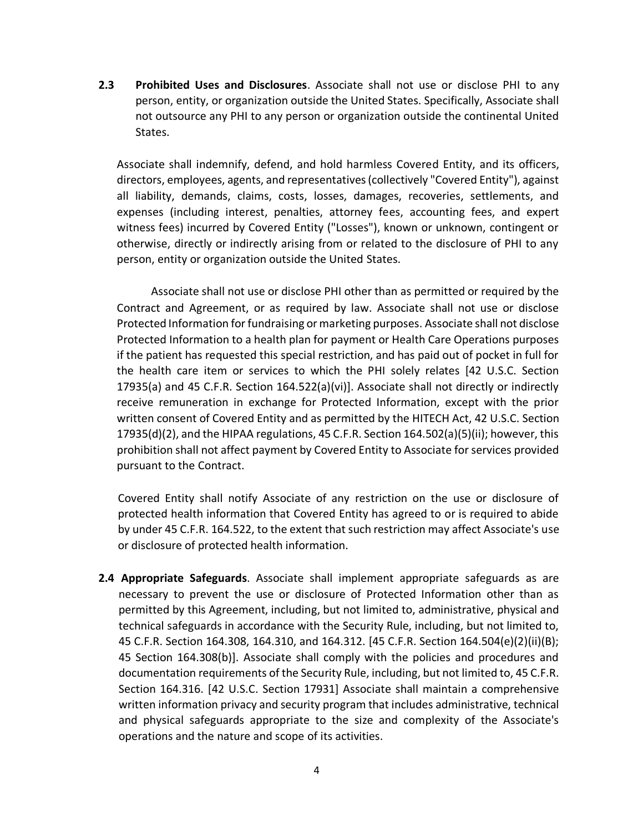**2.3 Prohibited Uses and Disclosures**. Associate shall not use or disclose PHI to any person, entity, or organization outside the United States. Specifically, Associate shall not outsource any PHI to any person or organization outside the continental United States.

Associate shall indemnify, defend, and hold harmless Covered Entity, and its officers, directors, employees, agents, and representatives (collectively "Covered Entity"), against all liability, demands, claims, costs, losses, damages, recoveries, settlements, and expenses (including interest, penalties, attorney fees, accounting fees, and expert witness fees) incurred by Covered Entity ("Losses"), known or unknown, contingent or otherwise, directly or indirectly arising from or related to the disclosure of PHI to any person, entity or organization outside the United States.

Associate shall not use or disclose PHI other than as permitted or required by the Contract and Agreement, or as required by law. Associate shall not use or disclose Protected Information for fundraising or marketing purposes. Associate shall not disclose Protected Information to a health plan for payment or Health Care Operations purposes if the patient has requested this special restriction, and has paid out of pocket in full for the health care item or services to which the PHI solely relates [42 U.S.C. Section 17935(a) and 45 C.F.R. Section 164.522(a)(vi)]. Associate shall not directly or indirectly receive remuneration in exchange for Protected Information, except with the prior written consent of Covered Entity and as permitted by the HITECH Act, 42 U.S.C. Section 17935(d)(2), and the HIPAA regulations, 45 C.F.R. Section 164.502(a)(5)(ii); however, this prohibition shall not affect payment by Covered Entity to Associate for services provided pursuant to the Contract.

Covered Entity shall notify Associate of any restriction on the use or disclosure of protected health information that Covered Entity has agreed to or is required to abide by under 45 C.F.R. 164.522, to the extent that such restriction may affect Associate's use or disclosure of protected health information.

**2.4 Appropriate Safeguards**. Associate shall implement appropriate safeguards as are necessary to prevent the use or disclosure of Protected Information other than as permitted by this Agreement, including, but not limited to, administrative, physical and technical safeguards in accordance with the Security Rule, including, but not limited to, 45 C.F.R. Section 164.308, 164.310, and 164.312. [45 C.F.R. Section 164.504(e)(2)(ii)(B); 45 Section 164.308(b)]. Associate shall comply with the policies and procedures and documentation requirements of the Security Rule, including, but not limited to, 45 C.F.R. Section 164.316. [42 U.S.C. Section 17931] Associate shall maintain a comprehensive written information privacy and security program that includes administrative, technical and physical safeguards appropriate to the size and complexity of the Associate's operations and the nature and scope of its activities.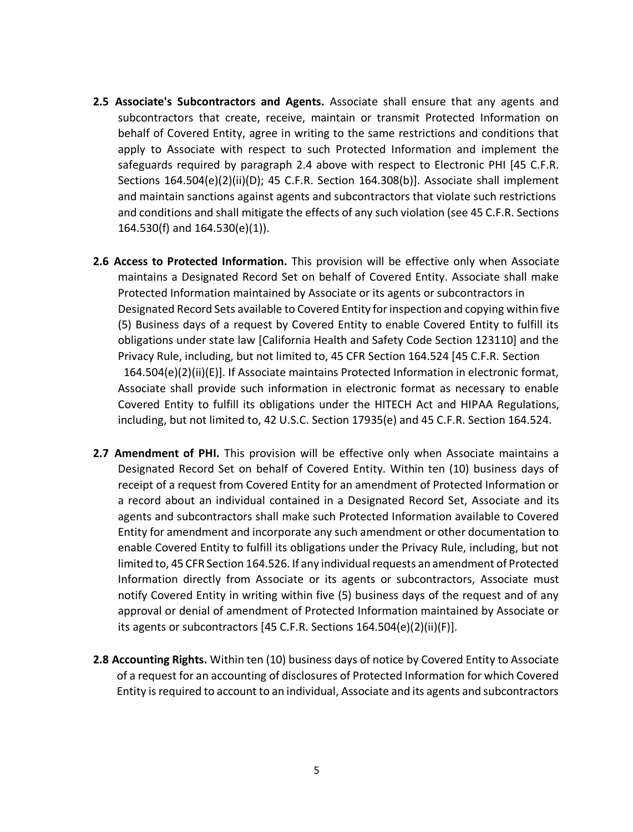- **2.5 Associate's Subcontractors and Agents.** Associate shall ensure that any agents and subcontractors that create, receive, maintain or transmit Protected Information on behalf of Covered Entity, agree in writing to the same restrictions and conditions that apply to Associate with respect to such Protected Information and implement the safeguards required by paragraph 2.4 above with respect to Electronic PHI [45 C.F.R. Sections 164.504(e)(2)(ii)(D); 45 C.F.R. Section 164.308(b)]. Associate shall implement and maintain sanctions against agents and subcontractors that violate such restrictions and conditions and shall mitigate the effects of any such violation (see 45 C.F.R. Sections 164.530(f) and 164.530(e)(1)).
- **2.6 Access to Protected Information.** This provision will be effective only when Associate maintains a Designated Record Set on behalf of Covered Entity. Associate shall make Protected Information maintained by Associate or its agents or subcontractors in Designated Record Sets available to Covered Entity for inspection and copying within five (5) Business days of a request by Covered Entity to enable Covered Entity to fulfill its obligations under state law [California Health and Safety Code Section 123110] and the Privacy Rule, including, but not limited to, 45 CFR Section 164.524 [45 C.F.R. Section 164.504(e)(2)(ii)(E)]. If Associate maintains Protected Information in electronic format, Associate shall provide such information in electronic format as necessary to enable Covered Entity to fulfill its obligations under the HITECH Act and HIPAA Regulations, including, but not limited to, 42 U.S.C. Section 17935(e) and 45 C.F.R. Section 164.524.
- **2.7 Amendment of PHI.** This provision will be effective only when Associate maintains a Designated Record Set on behalf of Covered Entity. Within ten (10) business days of receipt of a request from Covered Entity for an amendment of Protected Information or a record about an individual contained in a Designated Record Set, Associate and its agents and subcontractors shall make such Protected Information available to Covered Entity for amendment and incorporate any such amendment or other documentation to enable Covered Entity to fulfill its obligations under the Privacy Rule, including, but not limited to, 45 CFR Section 164.526. If any individual requests an amendment of Protected Information directly from Associate or its agents or subcontractors, Associate must notify Covered Entity in writing within five (5) business days of the request and of any approval or denial of amendment of Protected Information maintained by Associate or its agents or subcontractors [45 C.F.R. Sections 164.504(e)(2)(ii)(F)].
- **2.8 Accounting Rights.** Within ten (10) business days of notice by Covered Entity to Associate of a request for an accounting of disclosures of Protected Information for which Covered Entity is required to account to an individual, Associate and its agents and subcontractors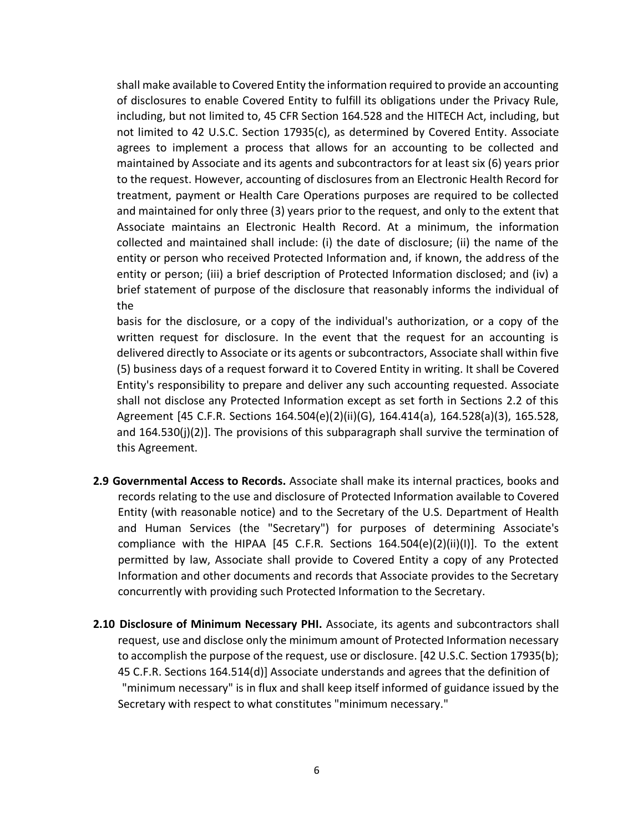shall make available to Covered Entity the information required to provide an accounting of disclosures to enable Covered Entity to fulfill its obligations under the Privacy Rule, including, but not limited to, 45 CFR Section 164.528 and the HITECH Act, including, but not limited to 42 U.S.C. Section 17935(c), as determined by Covered Entity. Associate agrees to implement a process that allows for an accounting to be collected and maintained by Associate and its agents and subcontractors for at least six (6) years prior to the request. However, accounting of disclosures from an Electronic Health Record for treatment, payment or Health Care Operations purposes are required to be collected and maintained for only three (3) years prior to the request, and only to the extent that Associate maintains an Electronic Health Record. At a minimum, the information collected and maintained shall include: (i) the date of disclosure; (ii) the name of the entity or person who received Protected Information and, if known, the address of the entity or person; (iii) a brief description of Protected Information disclosed; and (iv) a brief statement of purpose of the disclosure that reasonably informs the individual of the

basis for the disclosure, or a copy of the individual's authorization, or a copy of the written request for disclosure. In the event that the request for an accounting is delivered directly to Associate or its agents or subcontractors, Associate shall within five (5) business days of a request forward it to Covered Entity in writing. It shall be Covered Entity's responsibility to prepare and deliver any such accounting requested. Associate shall not disclose any Protected Information except as set forth in Sections 2.2 of this Agreement [45 C.F.R. Sections 164.504(e)(2)(ii)(G), 164.414(a), 164.528(a)(3), 165.528, and  $164.530(j)(2)$ ]. The provisions of this subparagraph shall survive the termination of this Agreement.

- **2.9 Governmental Access to Records.** Associate shall make its internal practices, books and records relating to the use and disclosure of Protected Information available to Covered Entity (with reasonable notice) and to the Secretary of the U.S. Department of Health and Human Services (the "Secretary") for purposes of determining Associate's compliance with the HIPAA [45 C.F.R. Sections  $164.504(e)(2)(ii)(1)$ ]. To the extent permitted by law, Associate shall provide to Covered Entity a copy of any Protected Information and other documents and records that Associate provides to the Secretary concurrently with providing such Protected Information to the Secretary.
- **2.10 Disclosure of Minimum Necessary PHI.** Associate, its agents and subcontractors shall request, use and disclose only the minimum amount of Protected Information necessary to accomplish the purpose of the request, use or disclosure. [42 U.S.C. Section 17935(b); 45 C.F.R. Sections 164.514(d)] Associate understands and agrees that the definition of "minimum necessary" is in flux and shall keep itself informed of guidance issued by the Secretary with respect to what constitutes "minimum necessary."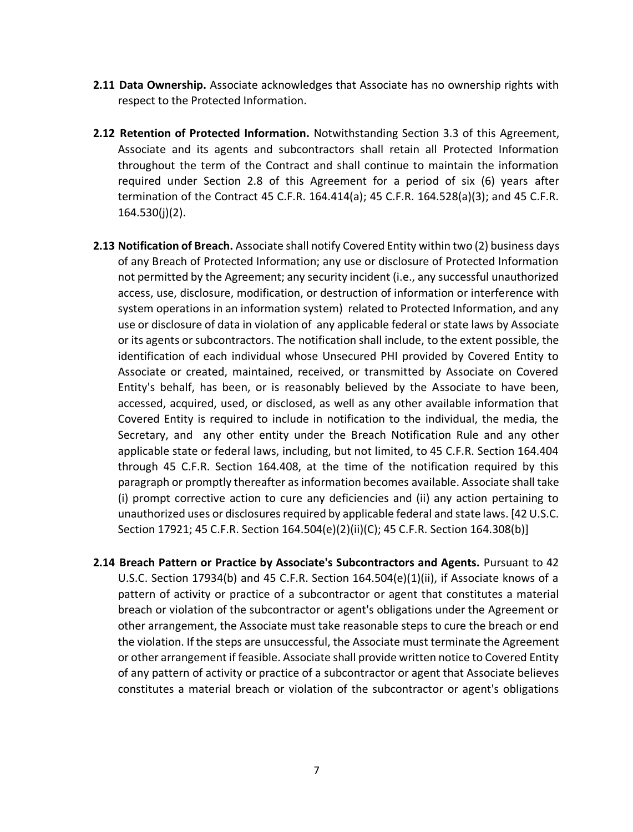- **2.11 Data Ownership.** Associate acknowledges that Associate has no ownership rights with respect to the Protected Information.
- **2.12 Retention of Protected Information.** Notwithstanding Section 3.3 of this Agreement, Associate and its agents and subcontractors shall retain all Protected Information throughout the term of the Contract and shall continue to maintain the information required under Section 2.8 of this Agreement for a period of six (6) years after termination of the Contract 45 C.F.R. 164.414(a); 45 C.F.R. 164.528(a)(3); and 45 C.F.R. 164.530(j)(2).
- **2.13 Notification of Breach.** Associate shall notify Covered Entity within two (2) business days of any Breach of Protected Information; any use or disclosure of Protected Information not permitted by the Agreement; any security incident (i.e., any successful unauthorized access, use, disclosure, modification, or destruction of information or interference with system operations in an information system) related to Protected Information, and any use or disclosure of data in violation of any applicable federal or state laws by Associate or its agents or subcontractors. The notification shall include, to the extent possible, the identification of each individual whose Unsecured PHI provided by Covered Entity to Associate or created, maintained, received, or transmitted by Associate on Covered Entity's behalf, has been, or is reasonably believed by the Associate to have been, accessed, acquired, used, or disclosed, as well as any other available information that Covered Entity is required to include in notification to the individual, the media, the Secretary, and any other entity under the Breach Notification Rule and any other applicable state or federal laws, including, but not limited, to 45 C.F.R. Section 164.404 through 45 C.F.R. Section 164.408, at the time of the notification required by this paragraph or promptly thereafter as information becomes available. Associate shall take (i) prompt corrective action to cure any deficiencies and (ii) any action pertaining to unauthorized uses or disclosures required by applicable federal and state laws. [42 U.S.C. Section 17921; 45 C.F.R. Section 164.504(e)(2)(ii)(C); 45 C.F.R. Section 164.308(b)]
- **2.14 Breach Pattern or Practice by Associate's Subcontractors and Agents.** Pursuant to 42 U.S.C. Section 17934(b) and 45 C.F.R. Section 164.504(e)(1)(ii), if Associate knows of a pattern of activity or practice of a subcontractor or agent that constitutes a material breach or violation of the subcontractor or agent's obligations under the Agreement or other arrangement, the Associate must take reasonable steps to cure the breach or end the violation. If the steps are unsuccessful, the Associate must terminate the Agreement or other arrangement if feasible. Associate shall provide written notice to Covered Entity of any pattern of activity or practice of a subcontractor or agent that Associate believes constitutes a material breach or violation of the subcontractor or agent's obligations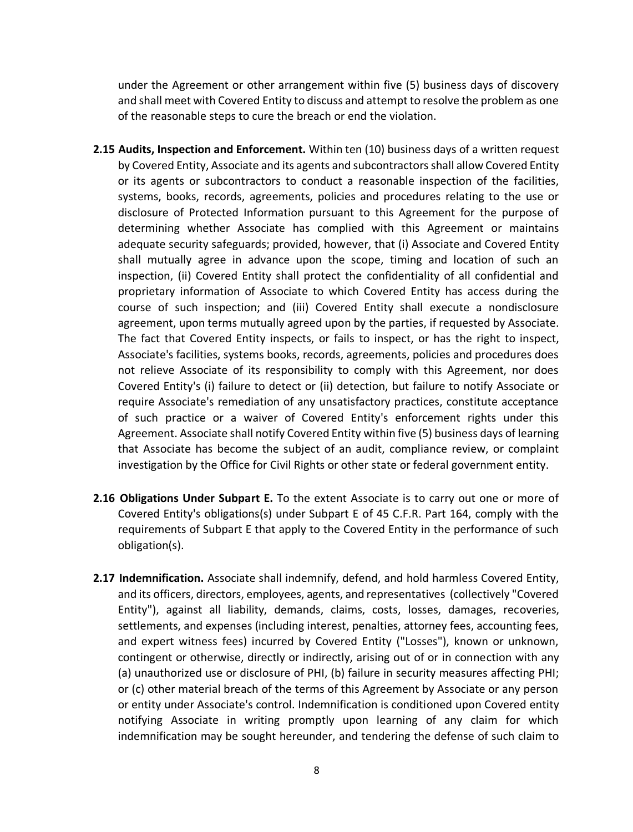under the Agreement or other arrangement within five (5) business days of discovery and shall meet with Covered Entity to discuss and attempt to resolve the problem as one of the reasonable steps to cure the breach or end the violation.

- **2.15 Audits, Inspection and Enforcement.** Within ten (10) business days of a written request by Covered Entity, Associate and its agents and subcontractors shall allow Covered Entity or its agents or subcontractors to conduct a reasonable inspection of the facilities, systems, books, records, agreements, policies and procedures relating to the use or disclosure of Protected Information pursuant to this Agreement for the purpose of determining whether Associate has complied with this Agreement or maintains adequate security safeguards; provided, however, that (i) Associate and Covered Entity shall mutually agree in advance upon the scope, timing and location of such an inspection, (ii) Covered Entity shall protect the confidentiality of all confidential and proprietary information of Associate to which Covered Entity has access during the course of such inspection; and (iii) Covered Entity shall execute a nondisclosure agreement, upon terms mutually agreed upon by the parties, if requested by Associate. The fact that Covered Entity inspects, or fails to inspect, or has the right to inspect, Associate's facilities, systems books, records, agreements, policies and procedures does not relieve Associate of its responsibility to comply with this Agreement, nor does Covered Entity's (i) failure to detect or (ii) detection, but failure to notify Associate or require Associate's remediation of any unsatisfactory practices, constitute acceptance of such practice or a waiver of Covered Entity's enforcement rights under this Agreement. Associate shall notify Covered Entity within five (5) business days of learning that Associate has become the subject of an audit, compliance review, or complaint investigation by the Office for Civil Rights or other state or federal government entity.
- **2.16 Obligations Under Subpart E.** To the extent Associate is to carry out one or more of Covered Entity's obligations(s) under Subpart E of 45 C.F.R. Part 164, comply with the requirements of Subpart E that apply to the Covered Entity in the performance of such obligation(s).
- **2.17 Indemnification.** Associate shall indemnify, defend, and hold harmless Covered Entity, and its officers, directors, employees, agents, and representatives (collectively "Covered Entity"), against all liability, demands, claims, costs, losses, damages, recoveries, settlements, and expenses (including interest, penalties, attorney fees, accounting fees, and expert witness fees) incurred by Covered Entity ("Losses"), known or unknown, contingent or otherwise, directly or indirectly, arising out of or in connection with any (a) unauthorized use or disclosure of PHI, (b) failure in security measures affecting PHI; or (c) other material breach of the terms of this Agreement by Associate or any person or entity under Associate's control. Indemnification is conditioned upon Covered entity notifying Associate in writing promptly upon learning of any claim for which indemnification may be sought hereunder, and tendering the defense of such claim to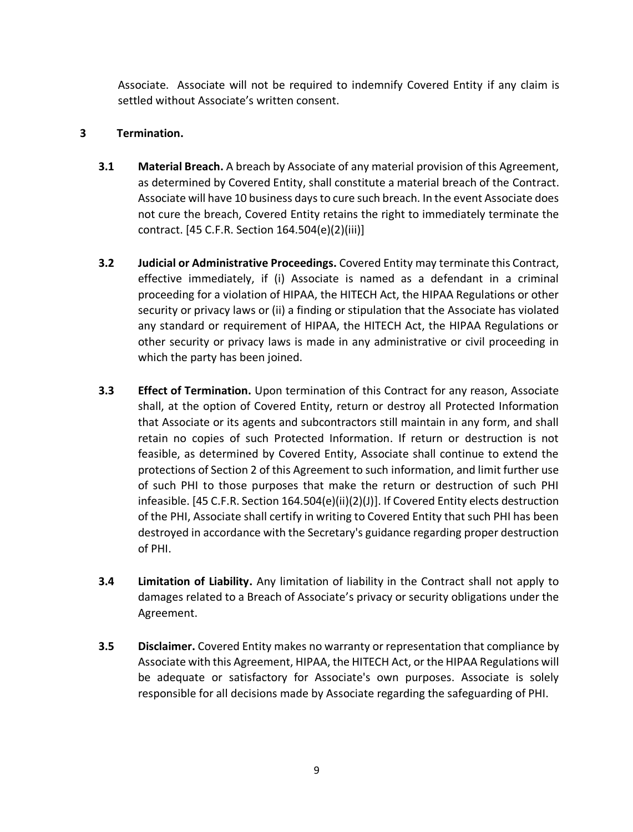Associate. Associate will not be required to indemnify Covered Entity if any claim is settled without Associate's written consent.

## **3 Termination.**

- **3.1 Material Breach.** A breach by Associate of any material provision of this Agreement, as determined by Covered Entity, shall constitute a material breach of the Contract. Associate will have 10 business days to cure such breach. In the event Associate does not cure the breach, Covered Entity retains the right to immediately terminate the contract. [45 C.F.R. Section 164.504(e)(2)(iii)]
- **3.2 Judicial or Administrative Proceedings.** Covered Entity may terminate this Contract, effective immediately, if (i) Associate is named as a defendant in a criminal proceeding for a violation of HIPAA, the HITECH Act, the HIPAA Regulations or other security or privacy laws or (ii) a finding or stipulation that the Associate has violated any standard or requirement of HIPAA, the HITECH Act, the HIPAA Regulations or other security or privacy laws is made in any administrative or civil proceeding in which the party has been joined.
- **3.3 Effect of Termination.** Upon termination of this Contract for any reason, Associate shall, at the option of Covered Entity, return or destroy all Protected Information that Associate or its agents and subcontractors still maintain in any form, and shall retain no copies of such Protected Information. If return or destruction is not feasible, as determined by Covered Entity, Associate shall continue to extend the protections of Section 2 of this Agreement to such information, and limit further use of such PHI to those purposes that make the return or destruction of such PHI infeasible. [45 C.F.R. Section 164.504(e)(ii)(2)(J)]. If Covered Entity elects destruction of the PHI, Associate shall certify in writing to Covered Entity that such PHI has been destroyed in accordance with the Secretary's guidance regarding proper destruction of PHI.
- **3.4 Limitation of Liability.** Any limitation of liability in the Contract shall not apply to damages related to a Breach of Associate's privacy or security obligations under the Agreement.
- **3.5 Disclaimer.** Covered Entity makes no warranty or representation that compliance by Associate with this Agreement, HIPAA, the HITECH Act, or the HIPAA Regulations will be adequate or satisfactory for Associate's own purposes. Associate is solely responsible for all decisions made by Associate regarding the safeguarding of PHI.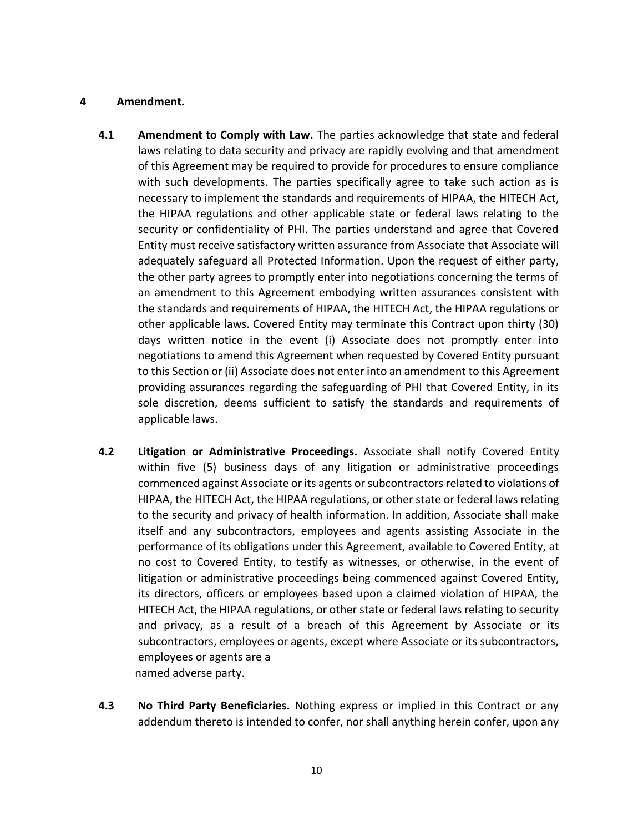### **4 Amendment.**

- **4.1 Amendment to Comply with Law.** The parties acknowledge that state and federal laws relating to data security and privacy are rapidly evolving and that amendment of this Agreement may be required to provide for procedures to ensure compliance with such developments. The parties specifically agree to take such action as is necessary to implement the standards and requirements of HIPAA, the HITECH Act, the HIPAA regulations and other applicable state or federal laws relating to the security or confidentiality of PHI. The parties understand and agree that Covered Entity must receive satisfactory written assurance from Associate that Associate will adequately safeguard all Protected Information. Upon the request of either party, the other party agrees to promptly enter into negotiations concerning the terms of an amendment to this Agreement embodying written assurances consistent with the standards and requirements of HIPAA, the HITECH Act, the HIPAA regulations or other applicable laws. Covered Entity may terminate this Contract upon thirty (30) days written notice in the event (i) Associate does not promptly enter into negotiations to amend this Agreement when requested by Covered Entity pursuant to this Section or (ii) Associate does not enter into an amendment to this Agreement providing assurances regarding the safeguarding of PHI that Covered Entity, in its sole discretion, deems sufficient to satisfy the standards and requirements of applicable laws.
- **4.2 Litigation or Administrative Proceedings.** Associate shall notify Covered Entity within five (5) business days of any litigation or administrative proceedings commenced against Associate or its agents or subcontractors related to violations of HIPAA, the HITECH Act, the HIPAA regulations, or other state or federal laws relating to the security and privacy of health information. In addition, Associate shall make itself and any subcontractors, employees and agents assisting Associate in the performance of its obligations under this Agreement, available to Covered Entity, at no cost to Covered Entity, to testify as witnesses, or otherwise, in the event of litigation or administrative proceedings being commenced against Covered Entity, its directors, officers or employees based upon a claimed violation of HIPAA, the HITECH Act, the HIPAA regulations, or other state or federal laws relating to security and privacy, as a result of a breach of this Agreement by Associate or its subcontractors, employees or agents, except where Associate or its subcontractors, employees or agents are a named adverse party.
- **4.3 No Third Party Beneficiaries.** Nothing express or implied in this Contract or any addendum thereto is intended to confer, nor shall anything herein confer, upon any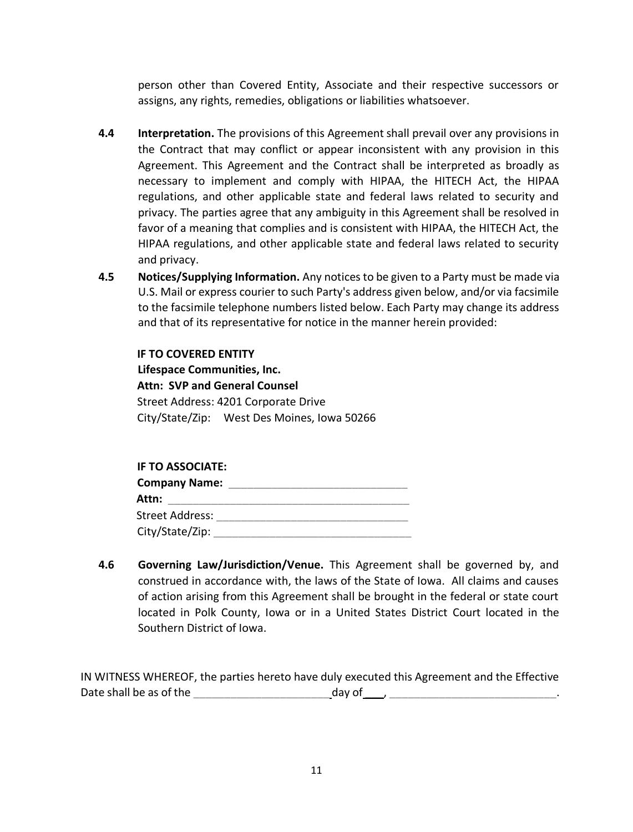person other than Covered Entity, Associate and their respective successors or assigns, any rights, remedies, obligations or liabilities whatsoever.

- **4.4 Interpretation.** The provisions of this Agreement shall prevail over any provisions in the Contract that may conflict or appear inconsistent with any provision in this Agreement. This Agreement and the Contract shall be interpreted as broadly as necessary to implement and comply with HIPAA, the HITECH Act, the HIPAA regulations, and other applicable state and federal laws related to security and privacy. The parties agree that any ambiguity in this Agreement shall be resolved in favor of a meaning that complies and is consistent with HIPAA, the HITECH Act, the HIPAA regulations, and other applicable state and federal laws related to security and privacy.
- **4.5 Notices/Supplying Information.** Any notices to be given to a Party must be made via U.S. Mail or express courier to such Party's address given below, and/or via facsimile to the facsimile telephone numbers listed below. Each Party may change its address and that of its representative for notice in the manner herein provided:

# **IF TO COVERED ENTITY**

**Lifespace Communities, Inc. Attn: SVP and General Counsel**  Street Address: 4201 Corporate Drive City/State/Zip: West Des Moines, Iowa 50266

#### **IF TO ASSOCIATE:**

| <b>Company Name:</b> |  |
|----------------------|--|
| Attn:                |  |
| Street Address:      |  |
| City/State/Zip:      |  |

**4.6 Governing Law/Jurisdiction/Venue.** This Agreement shall be governed by, and construed in accordance with, the laws of the State of Iowa. All claims and causes of action arising from this Agreement shall be brought in the federal or state court located in Polk County, Iowa or in a United States District Court located in the Southern District of Iowa.

IN WITNESS WHEREOF, the parties hereto have duly executed this Agreement and the Effective Date shall be as of the \_\_\_\_\_\_\_\_\_\_\_\_\_\_\_\_\_\_\_\_\_\_ day of \_\_\_, \_\_\_\_\_\_\_\_\_\_\_\_\_\_\_\_\_\_\_\_\_\_\_\_\_\_\_.